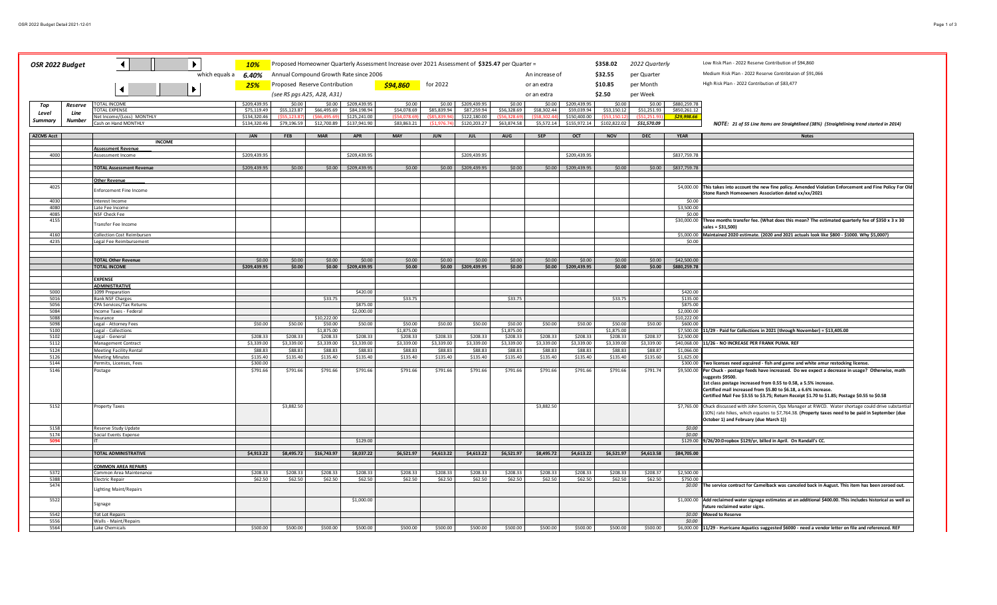| OSR 2022 Budget                               |         | Þ<br>$\blacktriangleleft$                          | <b>10%</b>           | Proposed Homeowner Quarterly Assessment Increase over 2021 Assessment of \$325.47 per Quarter =<br>\$358.02<br>2022 Quarterly |                                        |                        |                     |                |                     |                           |             |                     |              | Low Risk Plan - 2022 Reserve Contribution of \$94,860 |                                                          |                                                                                                                                                                      |
|-----------------------------------------------|---------|----------------------------------------------------|----------------------|-------------------------------------------------------------------------------------------------------------------------------|----------------------------------------|------------------------|---------------------|----------------|---------------------|---------------------------|-------------|---------------------|--------------|-------------------------------------------------------|----------------------------------------------------------|----------------------------------------------------------------------------------------------------------------------------------------------------------------------|
| which equals a 6.40%                          |         |                                                    |                      |                                                                                                                               | Annual Compound Growth Rate since 2006 |                        |                     |                |                     | An increase of<br>\$32.55 |             |                     | per Quarter  |                                                       | Medium Risk Plan - 2022 Reserve Contribtuion of \$91,066 |                                                                                                                                                                      |
|                                               |         |                                                    | 25%                  | Proposed Reserve Contribution                                                                                                 |                                        |                        | \$94,860            | for 2022       |                     |                           | or an extra |                     | \$10.85      | per Month                                             |                                                          | High Risk Plan - 2022 Contribution of \$83,477                                                                                                                       |
| $\blacktriangleright$<br>$\blacktriangleleft$ |         |                                                    |                      | (see RS pgs A25, A28, A31)                                                                                                    |                                        |                        |                     |                |                     |                           | or an extra |                     | \$2.50       | per Week                                              |                                                          |                                                                                                                                                                      |
|                                               |         | <b>TOTAL INCOME</b>                                | \$209,439.95         | \$0.00                                                                                                                        | \$0.00                                 | \$209,439.95           | \$0.00              | \$0.00         | \$209,439.9         | \$0.00                    | \$0.00      | \$209,439.95        | \$0.00       | \$0.00                                                | \$880,259.78                                             |                                                                                                                                                                      |
| Top                                           | Reserve | <b>OTAL EXPENSE</b>                                | \$75,119.49          | \$55,123.87                                                                                                                   | \$66,495.69                            | \$84,198.94            | \$54,078.69         | \$85,839.94    | \$87,259.9          | \$56,328.69               | \$58,302.44 | \$59,039.94         | \$53,150.12  | \$51,251.93                                           | \$850,261.12                                             |                                                                                                                                                                      |
| Level                                         | Line    | Net Income/(Loss) MONTHLY                          | \$134,320,46         |                                                                                                                               |                                        | \$125,241.00           | <b>ESA N</b>        | <b>185.830</b> | \$122,180.0         |                           |             | \$150,400.00        |              |                                                       | \$29,998.66                                              |                                                                                                                                                                      |
| Summary                                       | Number  | Cash on Hand MONTHLY                               | \$134,320.46         | \$79,196.59                                                                                                                   | \$12,700.89                            | \$137,941.90           | \$83,863.21         | \$1,976        | \$120,203.27        | \$63,874.58               | \$5,572.14  | \$155,972.14        | \$102,822.02 | \$51,570.09                                           |                                                          | NOTE: 21 of 55 Line Items are Straightlined (38%) (Straightlining trend started in 2014)                                                                             |
|                                               |         |                                                    |                      |                                                                                                                               |                                        |                        |                     |                |                     |                           |             |                     |              |                                                       |                                                          |                                                                                                                                                                      |
| <b>AZCMS Acct</b>                             |         |                                                    | <b>JAN</b>           | <b>FEB</b>                                                                                                                    | <b>MAR</b>                             | <b>APR</b>             | <b>MAY</b>          | <b>JUN</b>     | <b>JUL</b>          | AUG                       | <b>SEP</b>  | OCT                 | <b>NOV</b>   | <b>DEC</b>                                            | <b>YEAR</b>                                              | <b>Notes</b>                                                                                                                                                         |
|                                               |         | <b>INCOME</b><br><b>Assessment Revenue</b>         |                      |                                                                                                                               |                                        |                        |                     |                |                     |                           |             |                     |              |                                                       |                                                          |                                                                                                                                                                      |
| 4000                                          |         | Assessment Income                                  | \$209,439.95         |                                                                                                                               |                                        | \$209,439.95           |                     |                | \$209,439.95        |                           |             | \$209,439.95        |              |                                                       | \$837,759.78                                             |                                                                                                                                                                      |
|                                               |         |                                                    |                      |                                                                                                                               |                                        |                        |                     |                |                     |                           |             |                     |              |                                                       |                                                          |                                                                                                                                                                      |
|                                               |         | <b>TOTAL Assessment Revenue</b>                    | \$209,439.95         | \$0.00                                                                                                                        |                                        | \$0.00 \$209,439.95    | \$0.00              | \$0.00         | \$209,439.95        | \$0.00                    |             | \$0.00 \$209,439.95 | \$0.00       | \$0.00                                                | \$837,759.78                                             |                                                                                                                                                                      |
|                                               |         |                                                    |                      |                                                                                                                               |                                        |                        |                     |                |                     |                           |             |                     |              |                                                       |                                                          |                                                                                                                                                                      |
|                                               |         | <b>Other Revenue</b>                               |                      |                                                                                                                               |                                        |                        |                     |                |                     |                           |             |                     |              |                                                       |                                                          |                                                                                                                                                                      |
| 4025                                          |         | <b>Enforcement Fine Income</b>                     |                      |                                                                                                                               |                                        |                        |                     |                |                     |                           |             |                     |              |                                                       |                                                          | \$4,000.00 This takes into account the new fine policy. Amended Violation Enforcement and Fine Policy For Old<br>Stone Ranch Homeowners Association dated xx/xx/2021 |
| 4030                                          |         | Interest Income                                    |                      |                                                                                                                               |                                        |                        |                     |                |                     |                           |             |                     |              |                                                       | \$0.00                                                   |                                                                                                                                                                      |
| 4080                                          |         | Late Fee Income                                    |                      |                                                                                                                               |                                        |                        |                     |                |                     |                           |             |                     |              |                                                       | \$3,500.00                                               |                                                                                                                                                                      |
| 4085                                          |         | NSF Check Fee                                      |                      |                                                                                                                               |                                        |                        |                     |                |                     |                           |             |                     |              |                                                       | \$0.00                                                   |                                                                                                                                                                      |
| 415                                           |         |                                                    |                      |                                                                                                                               |                                        |                        |                     |                |                     |                           |             |                     |              |                                                       | \$30,000.00                                              | Three months transfer fee. (What does this mean? The estimated quarterly fee of \$350 x 3 x 30                                                                       |
|                                               |         | ransfer Fee Income                                 |                      |                                                                                                                               |                                        |                        |                     |                |                     |                           |             |                     |              |                                                       |                                                          | sales = \$31,500)                                                                                                                                                    |
| 4160                                          |         | Collection Cost Reimbursen                         |                      |                                                                                                                               |                                        |                        |                     |                |                     |                           |             |                     |              |                                                       |                                                          | \$5,000.00 Maintained 2020 estimate. (2020 and 2021 actuals look like \$800 - \$1000. Why \$5,000?)                                                                  |
| 4235                                          |         | Legal Fee Reimbursement                            |                      |                                                                                                                               |                                        |                        |                     |                |                     |                           |             |                     |              |                                                       | \$0.00                                                   |                                                                                                                                                                      |
|                                               |         |                                                    |                      |                                                                                                                               |                                        |                        |                     |                |                     |                           |             |                     |              |                                                       |                                                          |                                                                                                                                                                      |
|                                               |         | <b>TOTAL Other Revenue</b>                         | \$0.00               | \$0.00                                                                                                                        | 50.00                                  | \$0.00                 | \$0.00              | \$0.00         | \$0.00              |                           | \$0.00      | \$0.00              | \$0.00       | \$0.00                                                | \$42,500.00                                              |                                                                                                                                                                      |
|                                               |         | <b>TOTAL INCOME</b>                                | \$209,439.95         | \$0.00                                                                                                                        |                                        | \$0.00 \$209,439.95    | \$0.00              |                | \$0.00 \$209,439.95 | \$0.00<br>\$0.00          |             | \$0.00 \$209,439.95 | \$0.00       | \$0.00                                                | \$880,259.78                                             |                                                                                                                                                                      |
|                                               |         |                                                    |                      |                                                                                                                               |                                        |                        |                     |                |                     |                           |             |                     |              |                                                       |                                                          |                                                                                                                                                                      |
|                                               |         | <b>EXPENSE</b>                                     |                      |                                                                                                                               |                                        |                        |                     |                |                     |                           |             |                     |              |                                                       |                                                          |                                                                                                                                                                      |
|                                               |         | <b>ADMINISTRATIVE</b>                              |                      |                                                                                                                               |                                        |                        |                     |                |                     |                           |             |                     |              |                                                       |                                                          |                                                                                                                                                                      |
| 5000                                          |         | 1099 Preparation                                   |                      |                                                                                                                               |                                        | \$420.00               |                     |                |                     |                           |             |                     |              |                                                       | \$420.00                                                 |                                                                                                                                                                      |
| 5016                                          |         | <b>Bank NSF Charges</b>                            |                      |                                                                                                                               | \$33.75                                |                        | \$33.75             |                |                     | \$33.75                   |             |                     | \$33.75      |                                                       | \$135.00                                                 |                                                                                                                                                                      |
| 5056<br>5084                                  |         | CPA Services/Tax Returns<br>Income Taxes - Federal |                      |                                                                                                                               |                                        | \$875.00<br>\$2,000.00 |                     |                |                     |                           |             |                     |              |                                                       | \$875.00<br>\$2,000.00                                   |                                                                                                                                                                      |
| 5088                                          |         | Insurance                                          |                      |                                                                                                                               | \$10,222.00                            |                        |                     |                |                     |                           |             |                     |              |                                                       | \$10,222.00                                              |                                                                                                                                                                      |
| 5098                                          |         | Legal - Attorney Fees                              | \$50.00              | \$50.00                                                                                                                       | \$50.00                                | \$50.00                | \$50.00             | \$50.00        | \$50.00             | \$50.00                   | \$50.00     | \$50.00             | \$50.00      | \$50.00                                               | \$600.00                                                 |                                                                                                                                                                      |
| 5100                                          |         | Legal - Collections                                |                      |                                                                                                                               | \$1,875.00                             |                        | \$1,875,00          |                |                     | \$1,875.00                |             |                     | \$1,875.00   |                                                       |                                                          | \$7,500.00 11/29 - Paid for Collections in 2021 (through November) = \$13,405.00                                                                                     |
| 5102                                          |         | Legal - General                                    | \$208.33             | \$208.33                                                                                                                      | \$208.33                               | \$208.33               | \$208.33            | \$208.33       | \$208.33            | \$208.33                  | \$208.33    | \$208.33            | \$208.33     | \$208.37                                              | \$2,500.00                                               |                                                                                                                                                                      |
| 5112                                          |         | Management Contract                                | \$3,339.00           | \$3,339.00                                                                                                                    | \$3,339.00                             | \$3,339.00             | \$3,339.00          | \$3,339.00     | \$3,339.00          | \$3,339.00                | \$3,339.00  | \$3,339.00          | \$3,339.00   | \$3,339.00                                            | \$40,068.00                                              | 11/26 - NO INCREASE PER FRANK PUMA. REF                                                                                                                              |
| 5124                                          |         | <b>Meeting Facility Rental</b>                     | \$88.83              | \$88.83                                                                                                                       | \$88.83                                | \$88.83                | \$88.83<br>\$135.40 | \$88.83        | \$88.83             | \$88.83                   | \$88.83     | \$88.83             | \$88.83      | \$88.87                                               | \$1,066.00                                               |                                                                                                                                                                      |
| 5126<br>5144                                  |         | <b>Meeting Minutes</b><br>Permits, Licenses, Fees  | \$135.40<br>\$300.00 | \$135.40                                                                                                                      | \$135.40                               | \$135.40               |                     | \$135.40       | \$135.40            | \$135.40                  | \$135.40    | \$135.40            | \$135.40     | \$135.60                                              | \$1,625.00                                               | \$300.00 Two licenses need aqcuired - fish and game and white amur restocking license.                                                                               |
| 5146                                          |         | Postage                                            | \$791.66             | \$791.66                                                                                                                      | \$791.66                               | \$791.66               | \$791.66            | \$791.66       | \$791.66            | \$791.66                  | \$791.66    | \$791.66            | \$791.66     | \$791.74                                              |                                                          | \$9,500.00 Per Chuck - postage feeds have increased. Do we expect a decrease in usage? Otherwise, math                                                               |
|                                               |         |                                                    |                      |                                                                                                                               |                                        |                        |                     |                |                     |                           |             |                     |              |                                                       |                                                          | suggests \$9500.                                                                                                                                                     |
|                                               |         |                                                    |                      |                                                                                                                               |                                        |                        |                     |                |                     |                           |             |                     |              |                                                       |                                                          | 1st class postage increased from 0.55 to 0.58, a 5.5% increase.                                                                                                      |
|                                               |         |                                                    |                      |                                                                                                                               |                                        |                        |                     |                |                     |                           |             |                     |              |                                                       |                                                          | Certified mail increased from \$5.80 to \$6.18, a 6.6% increase.                                                                                                     |
|                                               |         |                                                    |                      |                                                                                                                               |                                        |                        |                     |                |                     |                           |             |                     |              |                                                       |                                                          | Certified Mail Fee \$3.55 to \$3.75; Return Receipt \$1.70 to \$1.85; Postage \$0.55 to \$0.58                                                                       |
| 5152                                          |         | roperty Taxes                                      |                      | \$3,882.50                                                                                                                    |                                        |                        |                     |                |                     |                           | \$3,882.50  |                     |              |                                                       |                                                          | \$7,765.00 Chuck discussed with John Scremin, Ops Manager at RWCD. Water shortage could drive substantial                                                            |
|                                               |         |                                                    |                      |                                                                                                                               |                                        |                        |                     |                |                     |                           |             |                     |              |                                                       |                                                          | (10%) rate hikes, which equates to \$7,764.38. (Property taxes need to be paid in September (due                                                                     |
|                                               |         |                                                    |                      |                                                                                                                               |                                        |                        |                     |                |                     |                           |             |                     |              |                                                       |                                                          | October 1) and February (due March 1))                                                                                                                               |
| 5158                                          |         | Reserve Study Update                               |                      |                                                                                                                               |                                        |                        |                     |                |                     |                           |             |                     |              |                                                       | \$0.00                                                   |                                                                                                                                                                      |
| 5174                                          |         | Social Events Expense                              |                      |                                                                                                                               |                                        |                        |                     |                |                     |                           |             |                     |              |                                                       | 50.00                                                    |                                                                                                                                                                      |
|                                               |         |                                                    |                      |                                                                                                                               |                                        | \$129.00               |                     |                |                     |                           |             |                     |              |                                                       |                                                          | \$129.00 9/26/20:Dropbox \$129/yr, billed in April. On Randall's CC.                                                                                                 |
|                                               |         | TOTAL ADMINISTRATIVE                               | \$4,913.22           | \$8,495.72                                                                                                                    | \$16,743.97                            | \$8,037.22             | \$6,521.97          | \$4,613.22     | \$4,613.22          | \$6,521.97                | \$8,495.72  | \$4,613.22          | \$6,521.97   | \$4,613.58                                            | \$84,705.00                                              |                                                                                                                                                                      |
|                                               |         |                                                    |                      |                                                                                                                               |                                        |                        |                     |                |                     |                           |             |                     |              |                                                       |                                                          |                                                                                                                                                                      |
|                                               |         | <b>COMMON AREA REPAIRS</b>                         |                      |                                                                                                                               |                                        |                        |                     |                |                     |                           |             |                     |              |                                                       |                                                          |                                                                                                                                                                      |
| 5372                                          |         | Common Area Maintenance                            | \$208.33             | \$208.33                                                                                                                      | \$208.33                               | \$208.33               | \$208.33            | \$208.33       | \$208.33            | \$208.33                  | \$208.33    | \$208.33            | \$208.33     | \$208.37                                              | \$2,500.00                                               |                                                                                                                                                                      |
| 5388                                          |         | Electric Repair                                    | \$62.50              | \$62.50                                                                                                                       | \$62.50                                | \$62.50                | \$62.50             | \$62.50        | \$62.50             | \$62.50                   | \$62.50     | \$62.50             | \$62.50      | \$62.50                                               | \$750.00                                                 |                                                                                                                                                                      |
| 5474                                          |         | Lighting Maint/Repairs                             |                      |                                                                                                                               |                                        |                        |                     |                |                     |                           |             |                     |              |                                                       |                                                          | \$0.00 The service contract for Camelback was canceled back in August. This item has been zeroed out.                                                                |
|                                               |         |                                                    |                      |                                                                                                                               |                                        |                        |                     |                |                     |                           |             |                     |              |                                                       |                                                          |                                                                                                                                                                      |
| 5522                                          |         | Signage                                            |                      |                                                                                                                               |                                        | \$1,000.00             |                     |                |                     |                           |             |                     |              |                                                       |                                                          | \$1,000.00 Add reclaimed water signage estimates at an additional \$400.00. This includes historical as well as                                                      |
|                                               |         |                                                    |                      |                                                                                                                               |                                        |                        |                     |                |                     |                           |             |                     |              |                                                       |                                                          | future reclaimed water signs.                                                                                                                                        |
| 5542                                          |         | <b>Tot Lot Repairs</b>                             |                      |                                                                                                                               |                                        |                        |                     |                |                     |                           |             |                     |              |                                                       |                                                          | \$0.00 Moved to Reserve                                                                                                                                              |
| 5556<br>5564                                  |         | Walls - Maint/Repairs<br>Lake Chemicals            | \$500.00             | \$500.00                                                                                                                      | \$500.00                               | \$500.00               | \$500.00            | \$500.00       | \$500.00            | \$500.00                  | \$500.00    | \$500.00            | \$500.00     | \$500.00                                              | \$0.00                                                   | \$6,000.00   11/29 - Hurricane Aquatics suggested \$6000 - need a vendor letter on file and referenced. REF                                                          |
|                                               |         |                                                    |                      |                                                                                                                               |                                        |                        |                     |                |                     |                           |             |                     |              |                                                       |                                                          |                                                                                                                                                                      |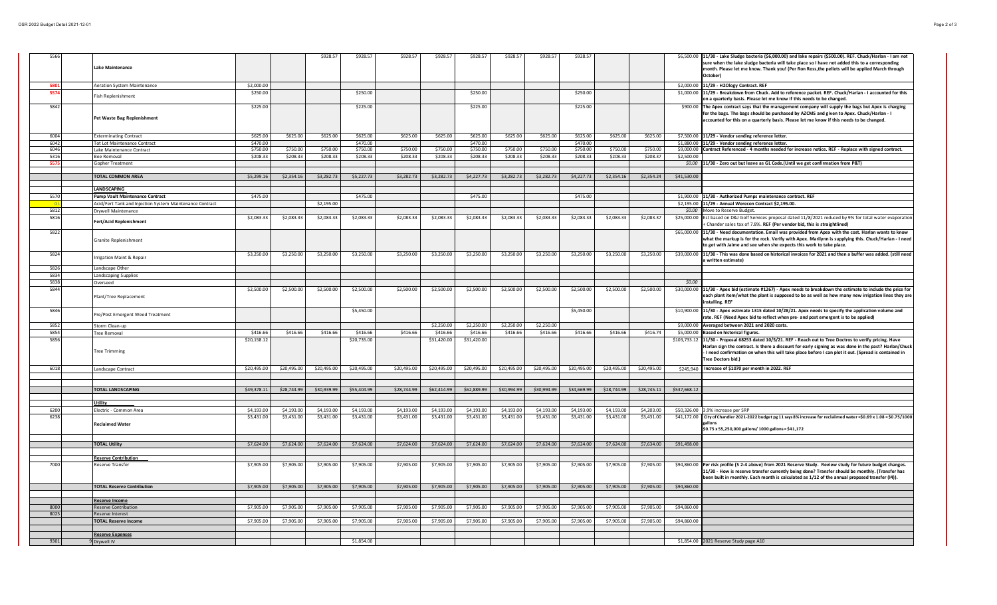| 5566 |                                                          |             |             | \$928.5     | \$928.57    | \$928.57    | \$928.57    | \$928.57    | \$928.57    | \$928.57    | \$928.57    |             |             |              | \$6,500.00 11/30 - Lake Sludge bacteria (\$6,000.00) and lake repairs (\$500.00). REF. Chuck/Harlan - I am not                                                                                                                                                                                                                                         |
|------|----------------------------------------------------------|-------------|-------------|-------------|-------------|-------------|-------------|-------------|-------------|-------------|-------------|-------------|-------------|--------------|--------------------------------------------------------------------------------------------------------------------------------------------------------------------------------------------------------------------------------------------------------------------------------------------------------------------------------------------------------|
|      | <b>Lake Maintenance</b>                                  |             |             |             |             |             |             |             |             |             |             |             |             |              | sure when the lake sludge bacteria will take place so I have not added this to a corresponding<br>month. Please let me know. Thank you! (Per Ron Ross,the pellets will be applied March through<br>October)                                                                                                                                            |
| 580  |                                                          | \$2,000.00  |             |             |             |             |             |             |             |             |             |             |             |              | \$2,000.00 11/29 - H2Ology Contract. REF                                                                                                                                                                                                                                                                                                               |
| 5574 | Aeration System Maintenance<br>Fish Replenishment        | \$250.00    |             |             | \$250.00    |             |             | \$250.00    |             |             | \$250.00    |             |             |              | \$1,000.00 11/29 - Breakdown from Chuck. Add to reference packet. REF. Chuck/Harlan - I accounted for this<br>on a quarterly basis. Please let me know if this needs to be changed.                                                                                                                                                                    |
| 5842 |                                                          | \$225.00    |             |             | \$225.00    |             |             | \$225.00    |             |             | \$225.00    |             |             |              | \$900.00 The Apex contract says that the management company will supply the bags but Apex is charging                                                                                                                                                                                                                                                  |
|      | Pet Waste Bag Replenishment                              |             |             |             |             |             |             |             |             |             |             |             |             |              | for the bags. The bags should be purchased by AZCMS and given to Apex. Chuck/Harlan - I<br>accounted for this on a quarterly basis. Please let me know if this needs to be changed.                                                                                                                                                                    |
| 6004 | <b>Exterminating Contract</b>                            | \$625.00    | \$625.00    | \$625.00    | \$625.00    | \$625.00    | \$625.00    | \$625.00    | \$625.00    | \$625.00    | \$625.00    | \$625.00    | \$625.00    |              | \$7,500.00 11/29 - Vendor sending reference letter.                                                                                                                                                                                                                                                                                                    |
| 6042 | <b>Tot Lot Maintenance Contract</b>                      | \$470.00    |             |             | \$470.00    |             |             | \$470.00    |             |             | \$470.00    |             |             |              | \$1,880.00 11/29 - Vendor sending reference letter.                                                                                                                                                                                                                                                                                                    |
| 6046 | Lake Maintenance Contract                                | \$750.00    | \$750.00    | \$750.00    | \$750.00    | \$750.00    | \$750.00    | \$750.00    | \$750.00    | \$750.00    | \$750.00    | \$750.00    | \$750.00    |              | \$9,000.00 Contract Referenced - 4 months needed for increase notice. REF - Replace with signed contract.                                                                                                                                                                                                                                              |
| 5316 | Bee Removal                                              | \$208.33    | \$208.33    | \$208.33    | \$208.33    | \$208.33    | \$208.33    | \$208.33    | \$208.33    | \$208.33    | \$208.33    | \$208.33    | \$208.37    | \$2,500.00   |                                                                                                                                                                                                                                                                                                                                                        |
| 557  | Sopher Treatment                                         |             |             |             |             |             |             |             |             |             |             |             |             |              | \$0.00 11/30 - Zero out but leave as GL Code.(Until we get confirmation from P&T)                                                                                                                                                                                                                                                                      |
|      | <b>TOTAL COMMON AREA</b>                                 | \$5,299.16  | \$2,354.16  | \$3,282.73  | \$5,227.73  | \$3,282.73  | \$3,282.73  | \$4,227.73  | \$3,282.73  | \$3,282.73  | \$4,227.73  | \$2,354.16  | \$2,354.24  | \$41,530.00  |                                                                                                                                                                                                                                                                                                                                                        |
|      |                                                          |             |             |             |             |             |             |             |             |             |             |             |             |              |                                                                                                                                                                                                                                                                                                                                                        |
|      | <b>LANDSCAPING</b>                                       |             |             |             |             |             |             |             |             |             |             |             |             |              |                                                                                                                                                                                                                                                                                                                                                        |
| 5570 | <b>Pump Vault Maintenance Contract</b>                   | \$475.00    |             |             | \$475.00    |             |             | \$475.00    |             |             | \$475.00    |             |             |              | \$1,900.00 11/30 - Authorized Pumps maintenance contract. REF                                                                                                                                                                                                                                                                                          |
|      | Acid/Fert Tank and Injection System Maintenance Contract |             |             | \$2,195.00  |             |             |             |             |             |             |             |             |             |              | \$2,195.00 11/29 - Annual Werecon Contract \$2,195.00.                                                                                                                                                                                                                                                                                                 |
| 5812 | Drywell Maintenance                                      |             |             |             |             |             |             |             |             |             |             |             |             |              | \$0.00 Move to Reserve Budget.                                                                                                                                                                                                                                                                                                                         |
| 5816 | Fert/Acid Replenishment                                  | \$2,083.33  | \$2,083.33  | \$2,083.33  | \$2,083.33  | \$2,083.33  | \$2,083.33  | \$2,083.33  | \$2,083.33  | \$2,083.33  | \$2,083.33  | \$2,083.33  | \$2,083.37  | \$25,000.00  | Est based on D&J Golf Services proposal dated 11/8/2021 reduced by 9% for total water evaporation<br>Chander sales tax of 7.8%. REF (Per vendor bid, this is straightlined)                                                                                                                                                                            |
| 5822 | Granite Replenishment                                    |             |             |             |             |             |             |             |             |             |             |             |             | \$65,000.00  | 11/30 - Need documentation. Email was provided from Apex with the cost. Harlan wants to know<br>what the markup is for the rock. Verify with Apex. Marilynn is supplying this. Chuck/Harlan - I need<br>to get with Jaime and see when she expects this work to take place.                                                                            |
| 5824 | rrigation Maint & Repair                                 | \$3,250.00  | \$3,250.00  | \$3,250.00  | \$3,250.00  | \$3,250.00  | \$3,250.00  | \$3,250.00  | \$3,250.00  | \$3,250.00  | \$3,250.00  | \$3,250.00  | \$3,250.00  |              | \$39,000.00 11/30 - This was done based on historical invoices for 2021 and then a buffer was added. (still need<br>a written estimate)                                                                                                                                                                                                                |
| 5826 | andscape Other                                           |             |             |             |             |             |             |             |             |             |             |             |             |              |                                                                                                                                                                                                                                                                                                                                                        |
| 5834 | andscaping Supplies                                      |             |             |             |             |             |             |             |             |             |             |             |             |              |                                                                                                                                                                                                                                                                                                                                                        |
| 5838 | Overseed                                                 |             |             |             |             |             |             |             |             |             |             |             |             | \$0.00       |                                                                                                                                                                                                                                                                                                                                                        |
| 5844 | Plant/Tree Replacement                                   | \$2,500.00  | \$2,500.00  | \$2,500.00  | \$2,500.00  | \$2,500.00  | \$2,500.00  | \$2,500.00  | \$2,500.00  | \$2,500.00  | \$2,500.00  | \$2,500.00  | \$2,500.00  |              | \$30,000.00 11/30 - Apex bid (estimate #1267) - Apex needs to breakdown the estimate to include the price for<br>each plant item/what the plant is supposed to be as well as how many new irrigation lines they are<br>installing. REF                                                                                                                 |
| 5846 | Pre/Post Emergent Weed Treatment                         |             |             |             | \$5,450.00  |             |             |             |             |             | \$5,450.00  |             |             |              | \$10,900.00 11/30 - Apex estimate 1315 dated 10/28/21. Apex needs to specify the application volume and<br>rate. REF (Need Apex bid to reflect when pre- and post emergent is to be applied)                                                                                                                                                           |
| 5852 | Storm Clean-up                                           |             |             |             |             |             | \$2,250.00  | \$2,250.00  | \$2,250.00  | \$2,250.00  |             |             |             |              | \$9,000.00 Averaged between 2021 and 2020 costs.                                                                                                                                                                                                                                                                                                       |
| 5854 | Tree Removal                                             | \$416.66    | \$416.66    | \$416.66    | \$416.66    | \$416.66    | \$416.66    | \$416.66    | \$416.66    | \$416.66    | \$416.66    | \$416.66    | \$416.74    |              | \$5,000.00 Based on historical figures.                                                                                                                                                                                                                                                                                                                |
| 5856 | Tree Trimming                                            | \$20,158.12 |             |             | \$20,735.00 |             | \$31,420.00 | \$31,420.00 |             |             |             |             |             |              | \$103,733.12 11/30 - Proposal 68253 dated 10/5/21. REF - Reach out to Tree Doctros to verify pricing. Have<br>Harlan sign the contract. Is there a discount for early signing as was done in the past? Harlan/Chuck<br>I need confirmation on when this will take place before I can plot it out. (Spread is contained in<br><b>Tree Doctors bid.)</b> |
| 6018 | Landscape Contract                                       | \$20,495.00 | \$20,495.00 | \$20,495.00 | \$20,495.00 | \$20,495.00 | \$20,495.00 | \$20,495.00 | \$20,495.00 | \$20,495.00 | \$20,495.00 | \$20,495.00 | \$20,495.00 | \$245,940    | Increase of \$1070 per month in 2022. REF                                                                                                                                                                                                                                                                                                              |
|      |                                                          |             |             |             |             |             |             |             |             |             |             |             |             |              |                                                                                                                                                                                                                                                                                                                                                        |
|      |                                                          |             |             |             |             |             |             |             |             |             |             |             |             |              |                                                                                                                                                                                                                                                                                                                                                        |
|      | <b>TOTAL LANDSCAPING</b>                                 | \$49,378.11 | \$28,744.99 | \$30,939.99 | \$55,404.99 | \$28,744.99 | \$62,414.99 | \$62,889.99 | \$30,994.99 | \$30,994.99 | \$34,669.99 | \$28,744.99 | \$28,745.11 | \$537,668.12 |                                                                                                                                                                                                                                                                                                                                                        |
|      |                                                          |             |             |             |             |             |             |             |             |             |             |             |             |              |                                                                                                                                                                                                                                                                                                                                                        |
| 6200 | Utility<br>lectric - Common Area                         | \$4,193.00  | \$4,193.00  | \$4,193.00  | \$4,193.00  | \$4,193.00  | \$4,193.00  | \$4,193.00  | \$4,193.00  | \$4,193.00  | \$4,193.00  | \$4,193.00  | \$4,203.00  |              | \$50,326.00 3.9% increase per SRP                                                                                                                                                                                                                                                                                                                      |
| 6238 |                                                          | \$3,431.00  | \$3,431.00  | \$3,431.00  | \$3,431.00  | \$3,431.00  | \$3,431.00  | \$3,431.00  | \$3,431.00  | \$3,431.00  | \$3,431.00  | \$3,431.00  | \$3,431.00  |              | \$41,172.00 City of Chandler 2021-2022 budget pg 11 says 8% increase for reclaiimed water = \$0.69 x 1.08 = \$0.75/1000                                                                                                                                                                                                                                |
|      | <b>Reclaimed Water</b>                                   |             |             |             |             |             |             |             |             |             |             |             |             |              | \$0.75 x 55,250,000 gallons/ 1000 gallons = \$41,172                                                                                                                                                                                                                                                                                                   |
|      |                                                          |             |             |             |             |             |             |             |             |             |             |             |             |              |                                                                                                                                                                                                                                                                                                                                                        |
|      | <b>TOTAL Utility</b>                                     | \$7,624.00  | \$7,624.00  | \$7,624.00  | \$7,624.00  | \$7,624.00  | \$7,624.00  | \$7,624.00  | \$7,624.00  | \$7,624.00  | \$7,624.00  | \$7,624.00  | \$7,634.00  | \$91,498.00  |                                                                                                                                                                                                                                                                                                                                                        |
|      |                                                          |             |             |             |             |             |             |             |             |             |             |             |             |              |                                                                                                                                                                                                                                                                                                                                                        |
|      | <b>Reserve Contribution</b>                              |             |             |             |             |             |             |             |             |             |             |             |             |              |                                                                                                                                                                                                                                                                                                                                                        |
| 7000 | Reserve Transfer                                         | \$7,905.00  | \$7,905.00  | \$7,905.00  | \$7,905.00  | \$7,905.00  | \$7,905.00  | \$7,905.00  | \$7,905.00  | \$7,905.00  | \$7,905.00  | \$7,905.00  | \$7,905.00  |              | \$94,860.00 Per risk profile (S 2-4 above) from 2021 Reserve Study. Review study for future budget changes.<br>11/30 - How is reserve transfer currently being done? Transfer should be monthly. (Transfer has<br>been built in monthly. Each month is calculated as 1/12 of the annual proposed transfer (I4)).                                       |
|      | <b>TOTAL Reserve Contribution</b>                        | \$7,905.00  | \$7,905.00  | \$7,905.00  | \$7,905.00  | \$7,905.00  | \$7,905.00  | \$7,905.00  | \$7,905.00  | \$7,905.00  | \$7,905.00  | \$7,905.00  | \$7,905.00  | \$94,860.00  |                                                                                                                                                                                                                                                                                                                                                        |
|      |                                                          |             |             |             |             |             |             |             |             |             |             |             |             |              |                                                                                                                                                                                                                                                                                                                                                        |
| 8000 | Reserve Income<br><b>Reserve Contribution</b>            | \$7,905.00  | \$7,905.00  | \$7,905.00  | \$7,905.00  | \$7,905.00  | \$7,905.00  | \$7,905.00  | \$7,905.00  | \$7,905.00  | \$7,905.00  | \$7,905.00  | \$7,905.00  | \$94,860.00  |                                                                                                                                                                                                                                                                                                                                                        |
| 8025 | Reserve Interest                                         |             |             |             |             |             |             |             |             |             |             |             |             |              |                                                                                                                                                                                                                                                                                                                                                        |
|      | <b>FOTAL Reserve Income</b>                              | \$7,905.00  | \$7,905.00  | \$7,905.00  | \$7,905.00  | \$7,905.00  | \$7,905.00  | \$7,905.00  | \$7,905.00  | \$7,905.00  | \$7,905.00  | \$7,905.00  | \$7,905.00  | \$94,860.00  |                                                                                                                                                                                                                                                                                                                                                        |
|      |                                                          |             |             |             |             |             |             |             |             |             |             |             |             |              |                                                                                                                                                                                                                                                                                                                                                        |
|      | <b>Reserve Expenses</b>                                  |             |             |             |             |             |             |             |             |             |             |             |             |              |                                                                                                                                                                                                                                                                                                                                                        |
| 9301 | Drywell IV                                               |             |             |             | \$1,854.00  |             |             |             |             |             |             |             |             |              | \$1,854.00 2021 Reserve Study page A10                                                                                                                                                                                                                                                                                                                 |
|      |                                                          |             |             |             |             |             |             |             |             |             |             |             |             |              |                                                                                                                                                                                                                                                                                                                                                        |